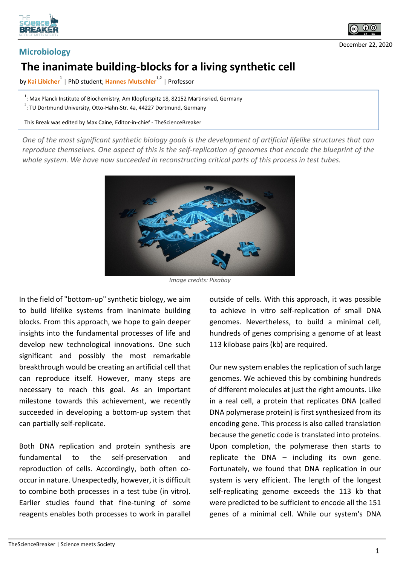



December 22, 2020

## **Microbiology**

## **The inanimate building-blocks for a living synthetic cell**

by <mark>Kai Libicher<sup>1</sup> | PhD student; Hannes Mutschler<sup>1,2</sup> | Professor</mark>

 $1$ : Max Planck Institute of Biochemistry, Am Klopferspitz 18, 82152 Martinsried, Germany  $2$ : TU Dortmund University, Otto-Hahn-Str. 4a, 44227 Dortmund, Germany

This Break was edited by Max Caine, Editor-in-chief - TheScienceBreaker

*One of the most significant synthetic biology goals is the development of artificial lifelike structures that can reproduce themselves. One aspect of this is the self-replication of genomes that encode the blueprint of the whole system. We have now succeeded in reconstructing critical parts of this process in test tubes.*



*Image credits: Pixabay*

In the field of "bottom-up" synthetic biology, we aim to build lifelike systems from inanimate building blocks. From this approach, we hope to gain deeper insights into the fundamental processes of life and develop new technological innovations. One such significant and possibly the most remarkable breakthrough would be creating an artificial cell that can reproduce itself. However, many steps are necessary to reach this goal. As an important milestone towards this achievement, we recently succeeded in developing a bottom-up system that can partially self-replicate.

Both DNA replication and protein synthesis are fundamental to the self-preservation and reproduction of cells. Accordingly, both often cooccur in nature. Unexpectedly, however, it is difficult to combine both processes in a test tube (in vitro). Earlier studies found that fine-tuning of some reagents enables both processes to work in parallel outside of cells. With this approach, it was possible to achieve in vitro self-replication of small DNA genomes. Nevertheless, to build a minimal cell, hundreds of genes comprising a genome of at least 113 kilobase pairs (kb) are required.

Our new system enables the replication of such large genomes. We achieved this by combining hundreds of different molecules at just the right amounts. Like in a real cell, a protein that replicates DNA (called DNA polymerase protein) is first synthesized from its encoding gene. This process is also called translation because the genetic code is translated into proteins. Upon completion, the polymerase then starts to replicate the DNA – including its own gene. Fortunately, we found that DNA replication in our system is very efficient. The length of the longest self-replicating genome exceeds the 113 kb that were predicted to be sufficient to encode all the 151 genes of a minimal cell. While our system's DNA